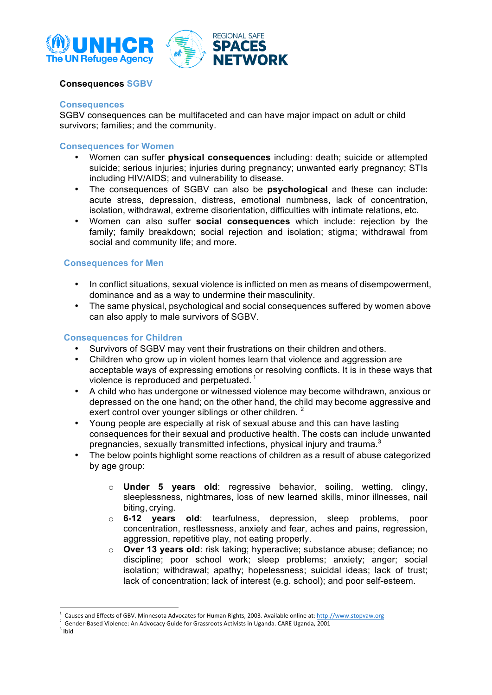



## **Consequences SGBV**

#### **Consequences**

SGBV consequences can be multifaceted and can have major impact on adult or child survivors; families; and the community.

### **Consequences for Women**

- Women can suffer **physical consequences** including: death; suicide or attempted suicide; serious injuries; injuries during pregnancy; unwanted early pregnancy; STIs including HIV/AIDS; and vulnerability to disease.
- The consequences of SGBV can also be **psychological** and these can include: acute stress, depression, distress, emotional numbness, lack of concentration, isolation, withdrawal, extreme disorientation, difficulties with intimate relations, etc.
- Women can also suffer **social consequences** which include: rejection by the family; family breakdown; social rejection and isolation; stigma; withdrawal from social and community life; and more.

### **Consequences for Men**

- In conflict situations, sexual violence is inflicted on men as means of disempowerment, dominance and as a way to undermine their masculinity.
- The same physical, psychological and social consequences suffered by women above can also apply to male survivors of SGBV.

### **Consequences for Children**

- Survivors of SGBV may vent their frustrations on their children and others.
- Children who grow up in violent homes learn that violence and aggression are acceptable ways of expressing emotions or resolving conflicts. It is in these ways that violence is reproduced and perpetuated.<sup>1</sup>
- A child who has undergone or witnessed violence may become withdrawn, anxious or depressed on the one hand; on the other hand, the child may become aggressive and exert control over younger siblings or other children.<sup>2</sup>
- Young people are especially at risk of sexual abuse and this can have lasting consequences for their sexual and productive health. The costs can include unwanted pregnancies, sexually transmitted infections, physical injury and trauma.<sup>3</sup>
- The below points highlight some reactions of children as a result of abuse categorized by age group:
	- o **Under 5 years old**: regressive behavior, soiling, wetting, clingy, sleeplessness, nightmares, loss of new learned skills, minor illnesses, nail biting, crying.
	- o **6-12 years old**: tearfulness, depression, sleep problems, poor concentration, restlessness, anxiety and fear, aches and pains, regression, aggression, repetitive play, not eating properly.
	- o **Over 13 years old**: risk taking; hyperactive; substance abuse; defiance; no discipline; poor school work; sleep problems; anxiety; anger; social isolation; withdrawal; apathy; hopelessness; suicidal ideas; lack of trust; lack of concentration; lack of interest (e.g. school); and poor self-esteem.

 $3$  Ibid

<u> 1989 - Jan Samuel Barbara, margaret e</u>

Causes and Effects of GBV. Minnesota Advocates for Human Rights, 2003. Available online at: http://www.stopvaw.org

 $2$  Gender-Based Violence: An Advocacy Guide for Grassroots Activists in Uganda. CARE Uganda, 2001